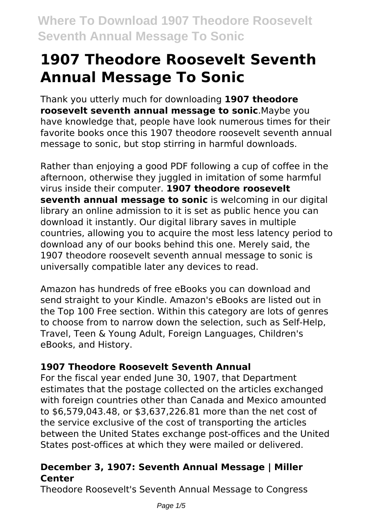# **1907 Theodore Roosevelt Seventh Annual Message To Sonic**

Thank you utterly much for downloading **1907 theodore roosevelt seventh annual message to sonic**.Maybe you have knowledge that, people have look numerous times for their favorite books once this 1907 theodore roosevelt seventh annual message to sonic, but stop stirring in harmful downloads.

Rather than enjoying a good PDF following a cup of coffee in the afternoon, otherwise they juggled in imitation of some harmful virus inside their computer. **1907 theodore roosevelt seventh annual message to sonic** is welcoming in our digital library an online admission to it is set as public hence you can download it instantly. Our digital library saves in multiple countries, allowing you to acquire the most less latency period to download any of our books behind this one. Merely said, the 1907 theodore roosevelt seventh annual message to sonic is universally compatible later any devices to read.

Amazon has hundreds of free eBooks you can download and send straight to your Kindle. Amazon's eBooks are listed out in the Top 100 Free section. Within this category are lots of genres to choose from to narrow down the selection, such as Self-Help, Travel, Teen & Young Adult, Foreign Languages, Children's eBooks, and History.

### **1907 Theodore Roosevelt Seventh Annual**

For the fiscal year ended June 30, 1907, that Department estimates that the postage collected on the articles exchanged with foreign countries other than Canada and Mexico amounted to \$6,579,043.48, or \$3,637,226.81 more than the net cost of the service exclusive of the cost of transporting the articles between the United States exchange post-offices and the United States post-offices at which they were mailed or delivered.

### **December 3, 1907: Seventh Annual Message | Miller Center**

Theodore Roosevelt's Seventh Annual Message to Congress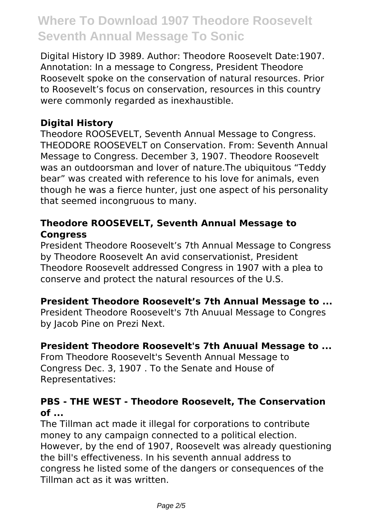Digital History ID 3989. Author: Theodore Roosevelt Date:1907. Annotation: In a message to Congress, President Theodore Roosevelt spoke on the conservation of natural resources. Prior to Roosevelt's focus on conservation, resources in this country were commonly regarded as inexhaustible.

#### **Digital History**

Theodore ROOSEVELT, Seventh Annual Message to Congress. THEODORE ROOSEVELT on Conservation. From: Seventh Annual Message to Congress. December 3, 1907. Theodore Roosevelt was an outdoorsman and lover of nature.The ubiquitous "Teddy bear" was created with reference to his love for animals, even though he was a fierce hunter, just one aspect of his personality that seemed incongruous to many.

#### **Theodore ROOSEVELT, Seventh Annual Message to Congress**

President Theodore Roosevelt's 7th Annual Message to Congress by Theodore Roosevelt An avid conservationist, President Theodore Roosevelt addressed Congress in 1907 with a plea to conserve and protect the natural resources of the U.S.

#### **President Theodore Roosevelt's 7th Annual Message to ...**

President Theodore Roosevelt's 7th Anuual Message to Congres by Jacob Pine on Prezi Next.

#### **President Theodore Roosevelt's 7th Anuual Message to ...**

From Theodore Roosevelt's Seventh Annual Message to Congress Dec. 3, 1907 . To the Senate and House of Representatives:

#### **PBS - THE WEST - Theodore Roosevelt, The Conservation of ...**

The Tillman act made it illegal for corporations to contribute money to any campaign connected to a political election. However, by the end of 1907, Roosevelt was already questioning the bill's effectiveness. In his seventh annual address to congress he listed some of the dangers or consequences of the Tillman act as it was written.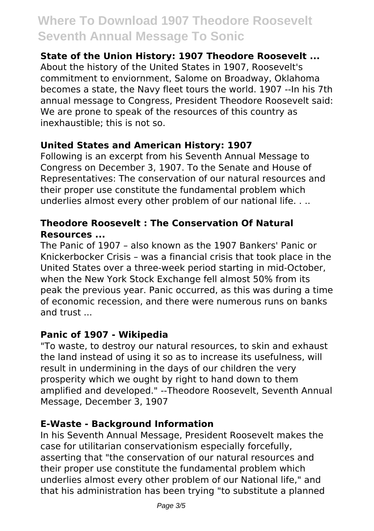#### **State of the Union History: 1907 Theodore Roosevelt ...**

About the history of the United States in 1907, Roosevelt's commitment to enviornment, Salome on Broadway, Oklahoma becomes a state, the Navy fleet tours the world. 1907 --In his 7th annual message to Congress, President Theodore Roosevelt said: We are prone to speak of the resources of this country as inexhaustible; this is not so.

#### **United States and American History: 1907**

Following is an excerpt from his Seventh Annual Message to Congress on December 3, 1907. To the Senate and House of Representatives: The conservation of our natural resources and their proper use constitute the fundamental problem which underlies almost every other problem of our national life. . ..

#### **Theodore Roosevelt : The Conservation Of Natural Resources ...**

The Panic of 1907 – also known as the 1907 Bankers' Panic or Knickerbocker Crisis – was a financial crisis that took place in the United States over a three-week period starting in mid-October, when the New York Stock Exchange fell almost 50% from its peak the previous year. Panic occurred, as this was during a time of economic recession, and there were numerous runs on banks and trust ...

#### **Panic of 1907 - Wikipedia**

"To waste, to destroy our natural resources, to skin and exhaust the land instead of using it so as to increase its usefulness, will result in undermining in the days of our children the very prosperity which we ought by right to hand down to them amplified and developed." --Theodore Roosevelt, Seventh Annual Message, December 3, 1907

#### **E-Waste - Background Information**

In his Seventh Annual Message, President Roosevelt makes the case for utilitarian conservationism especially forcefully, asserting that "the conservation of our natural resources and their proper use constitute the fundamental problem which underlies almost every other problem of our National life," and that his administration has been trying "to substitute a planned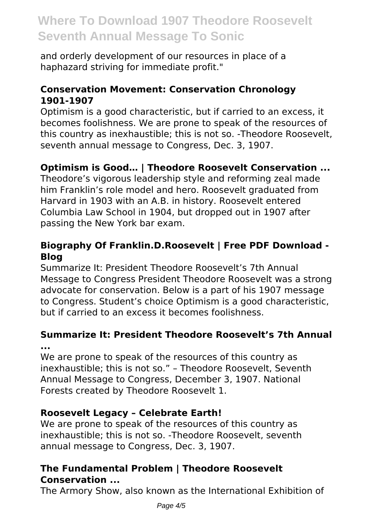and orderly development of our resources in place of a haphazard striving for immediate profit."

#### **Conservation Movement: Conservation Chronology 1901-1907**

Optimism is a good characteristic, but if carried to an excess, it becomes foolishness. We are prone to speak of the resources of this country as inexhaustible; this is not so. -Theodore Roosevelt, seventh annual message to Congress, Dec. 3, 1907.

### **Optimism is Good… | Theodore Roosevelt Conservation ...**

Theodore's vigorous leadership style and reforming zeal made him Franklin's role model and hero. Roosevelt graduated from Harvard in 1903 with an A.B. in history. Roosevelt entered Columbia Law School in 1904, but dropped out in 1907 after passing the New York bar exam.

#### **Biography Of Franklin.D.Roosevelt | Free PDF Download - Blog**

Summarize It: President Theodore Roosevelt's 7th Annual Message to Congress President Theodore Roosevelt was a strong advocate for conservation. Below is a part of his 1907 message to Congress. Student's choice Optimism is a good characteristic, but if carried to an excess it becomes foolishness.

#### **Summarize It: President Theodore Roosevelt's 7th Annual ...**

We are prone to speak of the resources of this country as inexhaustible; this is not so." – Theodore Roosevelt, Seventh Annual Message to Congress, December 3, 1907. National Forests created by Theodore Roosevelt 1.

#### **Roosevelt Legacy – Celebrate Earth!**

We are prone to speak of the resources of this country as inexhaustible; this is not so. -Theodore Roosevelt, seventh annual message to Congress, Dec. 3, 1907.

#### **The Fundamental Problem | Theodore Roosevelt Conservation ...**

The Armory Show, also known as the International Exhibition of